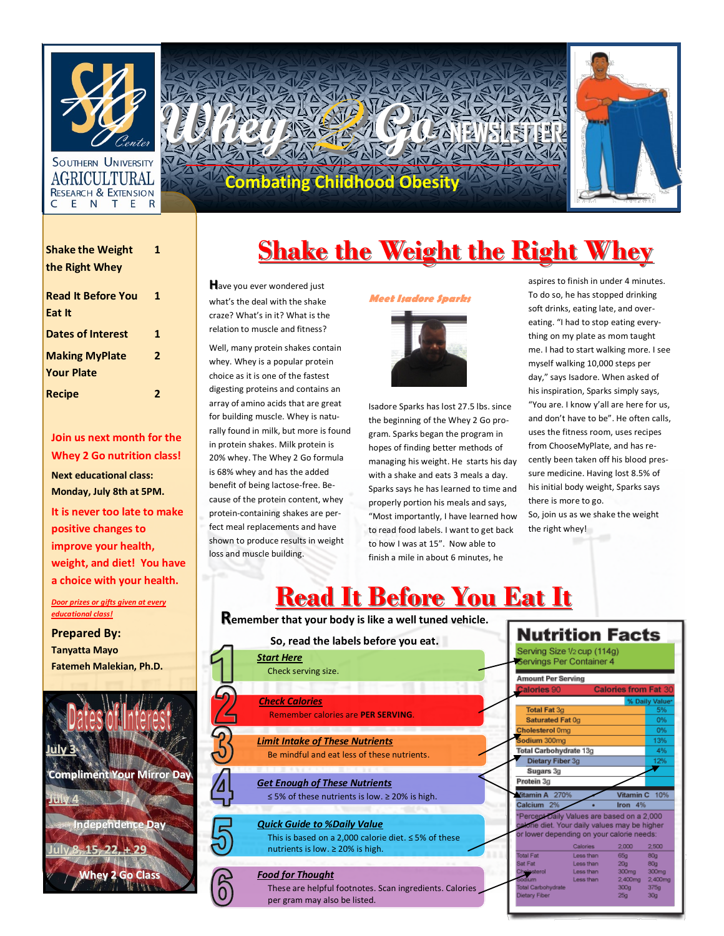

AGRICULTURA **RESEARCH & EXTENSIO** EN TER C

| 9                           | e                                    |  |
|-----------------------------|--------------------------------------|--|
| nter<br>ERSITY              |                                      |  |
| R<br><b>SION</b><br>E.<br>R | <b>Obesit</b><br>Ō<br>Q<br>F<br>l el |  |

| <b>Shake the Weight</b>                    | 1 |  |  |
|--------------------------------------------|---|--|--|
| the Right Whey                             |   |  |  |
| <b>Read It Before You</b><br>Eat It        | 1 |  |  |
| <b>Dates of Interest</b>                   | 1 |  |  |
| <b>Making MyPlate</b><br><b>Your Plate</b> | 2 |  |  |
| <b>Recipe</b>                              | 2 |  |  |

**Join us next month for the Whey 2 Go nutrition class! Next educational class: Monday, July 8th at 5PM.** 

**It is never too late to make positive changes to improve your health, weight, and diet! You have a choice with your health.**

*Door prizes or gifts given at every educational class!* 

**Prepared By: Tanyatta Mayo Fatemeh Malekian, Ph.D.**



## **<u>Shake the Weight the Right Whey</u>**

**H**ave you ever wondered just what's the deal with the shake craze? What's in it? What is the relation to muscle and fitness?

Well, many protein shakes contain whey. Whey is a popular protein choice as it is one of the fastest digesting proteins and contains an array of amino acids that are great for building muscle. Whey is naturally found in milk, but more is found in protein shakes. Milk protein is 20% whey. The Whey 2 Go formula is 68% whey and has the added benefit of being lactose-free. Because of the protein content, whey protein-containing shakes are perfect meal replacements and have shown to produce results in weight loss and muscle building.

#### **Meet Isadore Sparks**



Isadore Sparks has lost 27.5 lbs. since the beginning of the Whey 2 Go program. Sparks began the program in hopes of finding better methods of managing his weight. He starts his day with a shake and eats 3 meals a day. Sparks says he has learned to time and properly portion his meals and says, "Most importantly, I have learned how to read food labels. I want to get back to how I was at 15". Now able to finish a mile in about 6 minutes, he

aspires to finish in under 4 minutes. To do so, he has stopped drinking soft drinks, eating late, and overeating. "I had to stop eating everything on my plate as mom taught me. I had to start walking more. I see myself walking 10,000 steps per day," says Isadore. When asked of his inspiration, Sparks simply says, "You are. I know y'all are here for us, and don't have to be". He often calls, uses the fitness room, uses recipes from ChooseMyPlate, and has recently been taken off his blood pressure medicine. Having lost 8.5% of his initial body weight, Sparks says there is more to go. So, join us as we shake the weight the right whey!

## **Read It Before You Eat It**

**Remember that your body is like a well tuned vehicle.** 

| So, read the labels before you eat. |                                                                                                 | <b>Nutrition Facts</b>                                                                                                                  |     |
|-------------------------------------|-------------------------------------------------------------------------------------------------|-----------------------------------------------------------------------------------------------------------------------------------------|-----|
|                                     | <b>Start Here</b>                                                                               | Serving Size 1/2 cup (114g)<br>Servings Per Container 4                                                                                 |     |
|                                     | Check serving size.                                                                             | <b>Amount Per Serving</b>                                                                                                               |     |
|                                     |                                                                                                 | Calories 90<br><b>Calories from Fat 30</b>                                                                                              |     |
|                                     | <b>Check Calories</b>                                                                           | % Daily Value*                                                                                                                          |     |
|                                     | <b>Remember calories are PER SERVING.</b>                                                       | <b>Total Fat 3g</b>                                                                                                                     | 5%  |
|                                     |                                                                                                 | Saturated Fat 0g                                                                                                                        | 0%  |
|                                     |                                                                                                 | <b>Cholesterol Omg</b>                                                                                                                  | 0%  |
|                                     | <b>Limit Intake of These Nutrients</b>                                                          | Sodium 300mg                                                                                                                            | 13% |
|                                     | Be mindful and eat less of these nutrients.                                                     | Total Carbohydrate 13g                                                                                                                  | 4%  |
|                                     |                                                                                                 | Dietary Fiber 3g                                                                                                                        | 12% |
|                                     |                                                                                                 | Sugars 3g                                                                                                                               |     |
|                                     | <b>Get Enough of These Nutrients</b>                                                            | Protein 3g                                                                                                                              |     |
|                                     | $\leq$ 5% of these nutrients is low. $\geq$ 20% is high.                                        | Vitamin C<br>Vitamin A 270%                                                                                                             | 10% |
|                                     |                                                                                                 | Calcium 2%<br>Iron 4%                                                                                                                   |     |
|                                     | <b>Quick Guide to %Daily Value</b><br>This is based on a 2,000 calorie diet. $\leq$ 5% of these | Percent Daily Values are based on a 2,000<br>calorie diet. Your daily values may be higher<br>or lower depending on your calorie needs: |     |
|                                     | nutrients is low. ≥ 20% is high.                                                                | 2,500<br>Calories<br>2.000                                                                                                              |     |
|                                     |                                                                                                 | <b>Total Fat</b><br>80 <sub>0</sub><br>Less than<br>65g                                                                                 |     |
|                                     |                                                                                                 | Sat Fat<br>Less than<br>20a<br>80 <sub>9</sub><br>Less than<br>300mg<br>300mg                                                           |     |
|                                     | <b>Food for Thought</b>                                                                         | Cholesterol<br>Less than<br>2,400mg<br>2,400mg<br>odium                                                                                 |     |
|                                     | These are helpful footnotes. Scan ingredients. Calories                                         | Total Carbohydrate<br>375 <sub>q</sub><br>300 <sub>g</sub>                                                                              |     |
|                                     | per gram may also be listed.                                                                    | Dietary Fiber<br>30 <sub>9</sub><br>25g                                                                                                 |     |